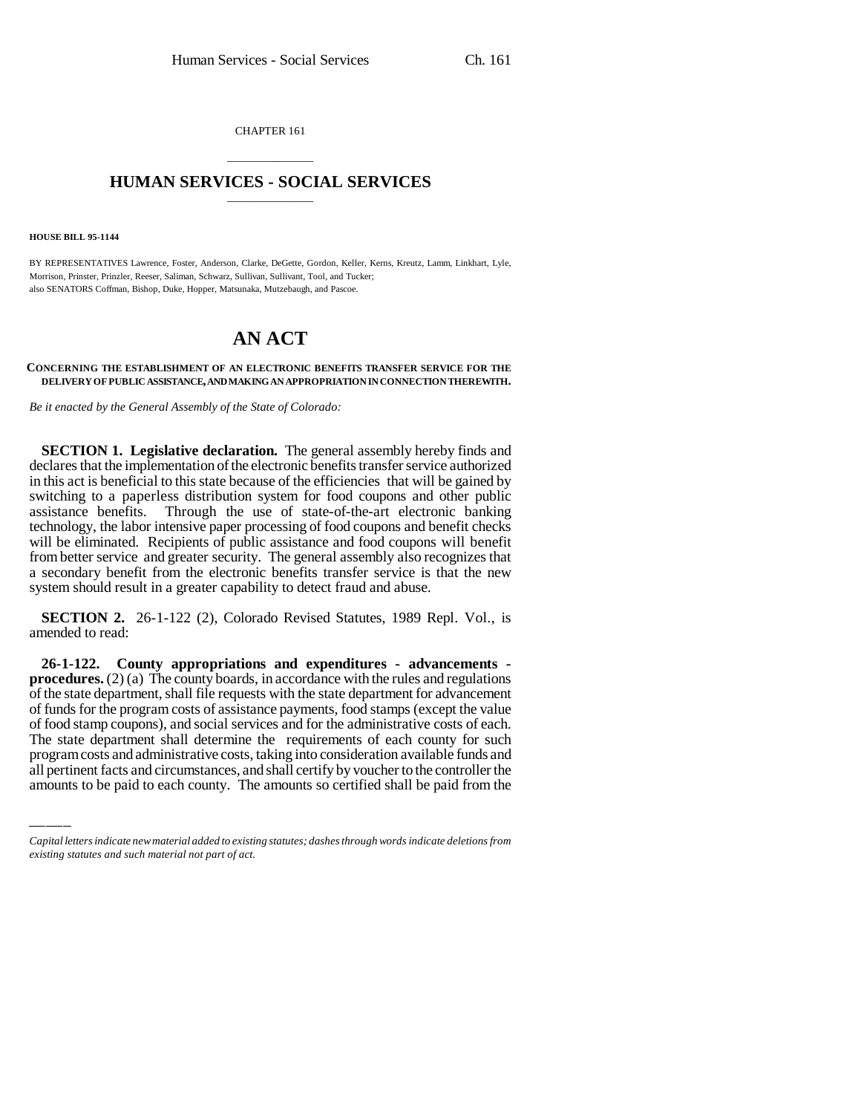CHAPTER 161

## \_\_\_\_\_\_\_\_\_\_\_\_\_\_\_ **HUMAN SERVICES - SOCIAL SERVICES** \_\_\_\_\_\_\_\_\_\_\_\_\_\_\_

**HOUSE BILL 95-1144**

BY REPRESENTATIVES Lawrence, Foster, Anderson, Clarke, DeGette, Gordon, Keller, Kerns, Kreutz, Lamm, Linkhart, Lyle, Morrison, Prinster, Prinzler, Reeser, Saliman, Schwarz, Sullivan, Sullivant, Tool, and Tucker; also SENATORS Coffman, Bishop, Duke, Hopper, Matsunaka, Mutzebaugh, and Pascoe.

## **AN ACT**

## **CONCERNING THE ESTABLISHMENT OF AN ELECTRONIC BENEFITS TRANSFER SERVICE FOR THE DELIVERY OF PUBLIC ASSISTANCE, AND MAKING AN APPROPRIATION IN CONNECTION THEREWITH.**

*Be it enacted by the General Assembly of the State of Colorado:*

**SECTION 1. Legislative declaration.** The general assembly hereby finds and declares that the implementation of the electronic benefits transfer service authorized in this act is beneficial to this state because of the efficiencies that will be gained by switching to a paperless distribution system for food coupons and other public assistance benefits. Through the use of state-of-the-art electronic banking technology, the labor intensive paper processing of food coupons and benefit checks will be eliminated. Recipients of public assistance and food coupons will benefit from better service and greater security. The general assembly also recognizes that a secondary benefit from the electronic benefits transfer service is that the new system should result in a greater capability to detect fraud and abuse.

**SECTION 2.** 26-1-122 (2), Colorado Revised Statutes, 1989 Repl. Vol., is amended to read:

of food stamp coupons), and social services and for the administrative costs of each. **26-1-122. County appropriations and expenditures - advancements procedures.** (2) (a) The county boards, in accordance with the rules and regulations of the state department, shall file requests with the state department for advancement of funds for the program costs of assistance payments, food stamps (except the value The state department shall determine the requirements of each county for such program costs and administrative costs, taking into consideration available funds and all pertinent facts and circumstances, and shall certify by voucher to the controller the amounts to be paid to each county. The amounts so certified shall be paid from the

*Capital letters indicate new material added to existing statutes; dashes through words indicate deletions from existing statutes and such material not part of act.*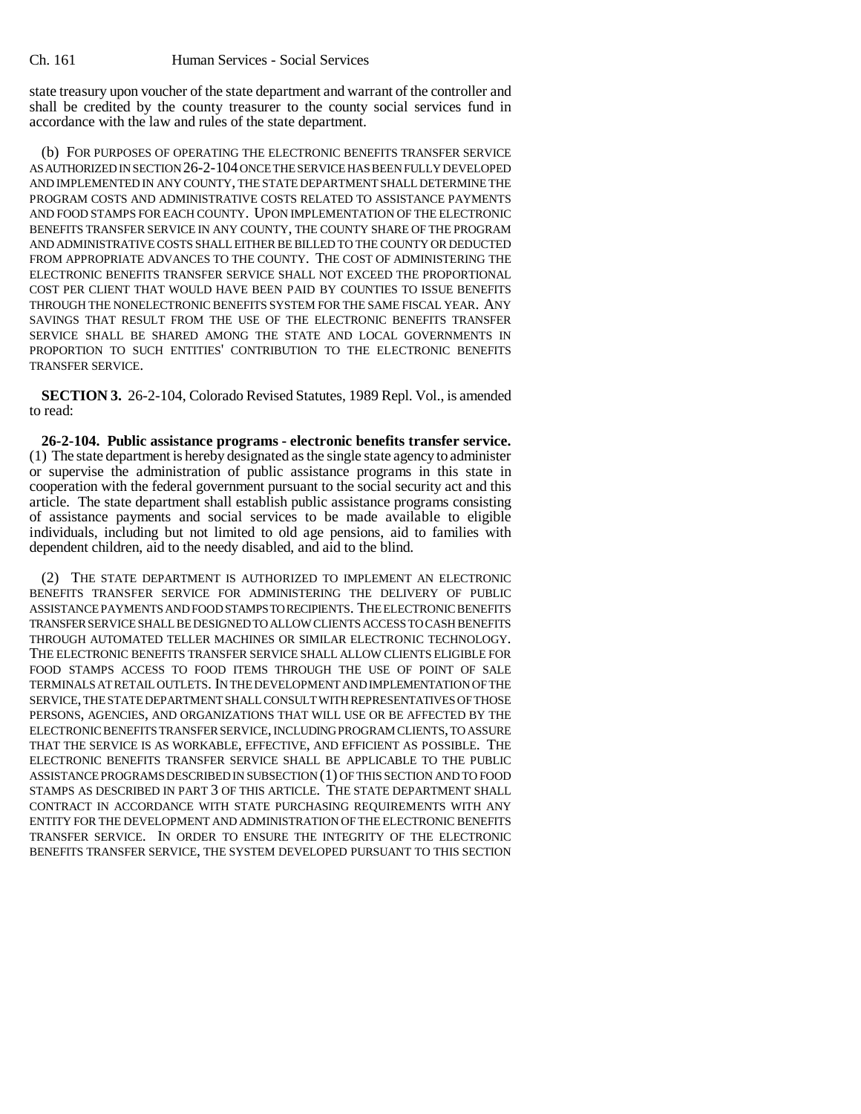state treasury upon voucher of the state department and warrant of the controller and shall be credited by the county treasurer to the county social services fund in accordance with the law and rules of the state department.

(b) FOR PURPOSES OF OPERATING THE ELECTRONIC BENEFITS TRANSFER SERVICE AS AUTHORIZED IN SECTION 26-2-104 ONCE THE SERVICE HAS BEEN FULLY DEVELOPED AND IMPLEMENTED IN ANY COUNTY, THE STATE DEPARTMENT SHALL DETERMINE THE PROGRAM COSTS AND ADMINISTRATIVE COSTS RELATED TO ASSISTANCE PAYMENTS AND FOOD STAMPS FOR EACH COUNTY. UPON IMPLEMENTATION OF THE ELECTRONIC BENEFITS TRANSFER SERVICE IN ANY COUNTY, THE COUNTY SHARE OF THE PROGRAM AND ADMINISTRATIVE COSTS SHALL EITHER BE BILLED TO THE COUNTY OR DEDUCTED FROM APPROPRIATE ADVANCES TO THE COUNTY. THE COST OF ADMINISTERING THE ELECTRONIC BENEFITS TRANSFER SERVICE SHALL NOT EXCEED THE PROPORTIONAL COST PER CLIENT THAT WOULD HAVE BEEN PAID BY COUNTIES TO ISSUE BENEFITS THROUGH THE NONELECTRONIC BENEFITS SYSTEM FOR THE SAME FISCAL YEAR. ANY SAVINGS THAT RESULT FROM THE USE OF THE ELECTRONIC BENEFITS TRANSFER SERVICE SHALL BE SHARED AMONG THE STATE AND LOCAL GOVERNMENTS IN PROPORTION TO SUCH ENTITIES' CONTRIBUTION TO THE ELECTRONIC BENEFITS TRANSFER SERVICE.

**SECTION 3.** 26-2-104, Colorado Revised Statutes, 1989 Repl. Vol., is amended to read:

**26-2-104. Public assistance programs - electronic benefits transfer service.** (1) The state department is hereby designated as the single state agency to administer or supervise the administration of public assistance programs in this state in cooperation with the federal government pursuant to the social security act and this article. The state department shall establish public assistance programs consisting of assistance payments and social services to be made available to eligible individuals, including but not limited to old age pensions, aid to families with dependent children, aid to the needy disabled, and aid to the blind.

(2) THE STATE DEPARTMENT IS AUTHORIZED TO IMPLEMENT AN ELECTRONIC BENEFITS TRANSFER SERVICE FOR ADMINISTERING THE DELIVERY OF PUBLIC ASSISTANCE PAYMENTS AND FOOD STAMPS TO RECIPIENTS. THE ELECTRONIC BENEFITS TRANSFER SERVICE SHALL BE DESIGNED TO ALLOW CLIENTS ACCESS TO CASH BENEFITS THROUGH AUTOMATED TELLER MACHINES OR SIMILAR ELECTRONIC TECHNOLOGY. THE ELECTRONIC BENEFITS TRANSFER SERVICE SHALL ALLOW CLIENTS ELIGIBLE FOR FOOD STAMPS ACCESS TO FOOD ITEMS THROUGH THE USE OF POINT OF SALE TERMINALS AT RETAIL OUTLETS. IN THE DEVELOPMENT AND IMPLEMENTATION OF THE SERVICE, THE STATE DEPARTMENT SHALL CONSULT WITH REPRESENTATIVES OF THOSE PERSONS, AGENCIES, AND ORGANIZATIONS THAT WILL USE OR BE AFFECTED BY THE ELECTRONIC BENEFITS TRANSFER SERVICE, INCLUDING PROGRAM CLIENTS, TO ASSURE THAT THE SERVICE IS AS WORKABLE, EFFECTIVE, AND EFFICIENT AS POSSIBLE. THE ELECTRONIC BENEFITS TRANSFER SERVICE SHALL BE APPLICABLE TO THE PUBLIC ASSISTANCE PROGRAMS DESCRIBED IN SUBSECTION (1) OF THIS SECTION AND TO FOOD STAMPS AS DESCRIBED IN PART 3 OF THIS ARTICLE. THE STATE DEPARTMENT SHALL CONTRACT IN ACCORDANCE WITH STATE PURCHASING REQUIREMENTS WITH ANY ENTITY FOR THE DEVELOPMENT AND ADMINISTRATION OF THE ELECTRONIC BENEFITS TRANSFER SERVICE. IN ORDER TO ENSURE THE INTEGRITY OF THE ELECTRONIC BENEFITS TRANSFER SERVICE, THE SYSTEM DEVELOPED PURSUANT TO THIS SECTION